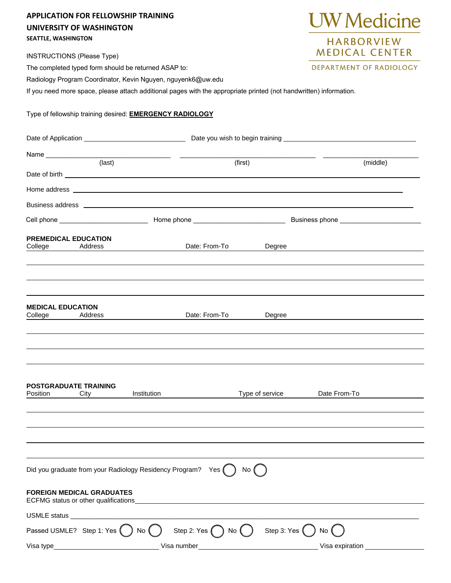## **APPLICATION FOR FELLOWSHIP TRAINING UNIVERSITY OF WASHINGTON SEATTLE, WASHINGTON**

INSTRUCTIONS (Please Type)

The completed typed form should be returned ASAP to:

Radiology Program Coordinator, Kevin Nguyen, nguyenk6@uw.edu

If you need more space, please attach additional pages with the appropriate printed (not handwritten) information.

Type of fellowship training desired: **EMERGENCY RADIOLOGY**

| <u> 1980 - Jan Barat, prima prima prima prima prima prima prima prima prima prima prima prima prima prima prima p</u><br>(last) |                                                                           |                                                         | (first)                         |                 |                 | (middle) |  |
|---------------------------------------------------------------------------------------------------------------------------------|---------------------------------------------------------------------------|---------------------------------------------------------|---------------------------------|-----------------|-----------------|----------|--|
|                                                                                                                                 |                                                                           |                                                         |                                 |                 |                 |          |  |
|                                                                                                                                 |                                                                           |                                                         |                                 |                 |                 |          |  |
|                                                                                                                                 |                                                                           |                                                         |                                 |                 |                 |          |  |
|                                                                                                                                 |                                                                           |                                                         |                                 |                 |                 |          |  |
| <b>PREMEDICAL EDUCATION</b><br>College                                                                                          | Address                                                                   |                                                         | Date: From-To                   | Degree          |                 |          |  |
|                                                                                                                                 |                                                                           |                                                         |                                 |                 |                 |          |  |
| <b>MEDICAL EDUCATION</b><br>College                                                                                             | Address                                                                   |                                                         | Date: From-To                   | Degree          |                 |          |  |
|                                                                                                                                 |                                                                           |                                                         |                                 |                 |                 |          |  |
| <b>POSTGRADUATE TRAINING</b><br>Position                                                                                        | City                                                                      | Institution                                             |                                 | Type of service | Date From-To    |          |  |
|                                                                                                                                 |                                                                           |                                                         |                                 |                 |                 |          |  |
|                                                                                                                                 |                                                                           |                                                         |                                 |                 |                 |          |  |
|                                                                                                                                 |                                                                           | Did you graduate from your Radiology Residency Program? | Yes                             | No (            |                 |          |  |
|                                                                                                                                 | <b>FOREIGN MEDICAL GRADUATES</b><br>ECFMG status or other qualifications_ |                                                         |                                 |                 |                 |          |  |
| USMLE status                                                                                                                    |                                                                           |                                                         |                                 |                 |                 |          |  |
|                                                                                                                                 | Passed USMLE? Step 1: Yes (                                               | No (                                                    | Step 2: Yes $\bigcap$<br>) No ( | Step 3: Yes     | No              |          |  |
| Visa type                                                                                                                       |                                                                           | Visa number                                             |                                 |                 | Visa expiration |          |  |



DEPARTMENT OF RADIOLOGY